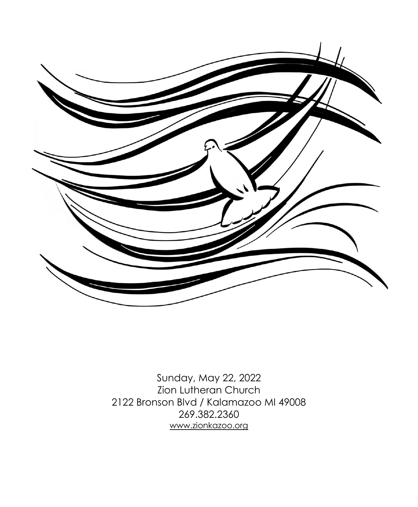

Sunday, May 22, 2022 Zion Lutheran Church 2122 Bronson Blvd / Kalamazoo MI 49008 269.382.2360 [www.zionkazoo.org](http://www.zionkazoo.org/)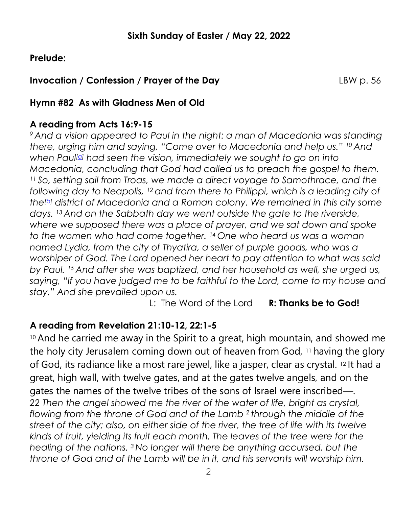# **Prelude:**

# **Invocation / Confession / Prayer of the Day LBW p. 56**

# **Hymn #82 As with Gladness Men of Old**

# **A reading from Acts 16:9-15**

*<sup>9</sup> And a vision appeared to Paul in the night: a man of Macedonia was standing there, urging him and saying, "Come over to Macedonia and help us." <sup>10</sup> And when Paul[\[a\]](https://www.biblegateway.com/passage/?search=Acts+16%3A9-15%3B+Revelation+21%3A10%2C22-22%3A5%3B+John+14%3A23-29&version=ESV#fen-ESV-27480a) had seen the vision, immediately we sought to go on into Macedonia, concluding that God had called us to preach the gospel to them. <sup>11</sup> So, setting sail from Troas, we made a direct voyage to Samothrace, and the following day to Neapolis, <sup>12</sup> and from there to Philippi, which is a leading city of the[\[b\]](https://www.biblegateway.com/passage/?search=Acts+16%3A9-15%3B+Revelation+21%3A10%2C22-22%3A5%3B+John+14%3A23-29&version=ESV#fen-ESV-27482b) district of Macedonia and a Roman colony. We remained in this city some days. <sup>13</sup> And on the Sabbath day we went outside the gate to the riverside, where we supposed there was a place of prayer, and we sat down and spoke to the women who had come together. <sup>14</sup> One who heard us was a woman named Lydia, from the city of Thyatira, a seller of purple goods, who was a worshiper of God. The Lord opened her heart to pay attention to what was said by Paul. <sup>15</sup> And after she was baptized, and her household as well, she urged us, saying, "If you have judged me to be faithful to the Lord, come to my house and stay." And she prevailed upon us.*

L: The Word of the Lord **R: Thanks be to God!**

# **A reading from Revelation 21:10-12, 22:1-5**

<sup>10</sup> And he carried me away in the Spirit to a great, high mountain, and showed me the holy city Jerusalem coming down out of heaven from God, <sup>11</sup> having the glory of God, its radiance like a most rare jewel, like a jasper, clear as crystal. <sup>12</sup> It had a great, high wall, with twelve gates, and at the gates twelve angels, and on the gates the names of the twelve tribes of the sons of Israel were inscribed—*. 22 Then the angel showed me the river of the water of life, bright as crystal, flowing from the throne of God and of the Lamb <sup>2</sup> through the middle of the street of the city; also, on either side of the river, the tree of life with its twelve kinds of fruit, yielding its fruit each month. The leaves of the tree were for the healing of the nations. <sup>3</sup> No longer will there be anything accursed, but the throne of God and of the Lamb will be in it, and his servants will worship him.*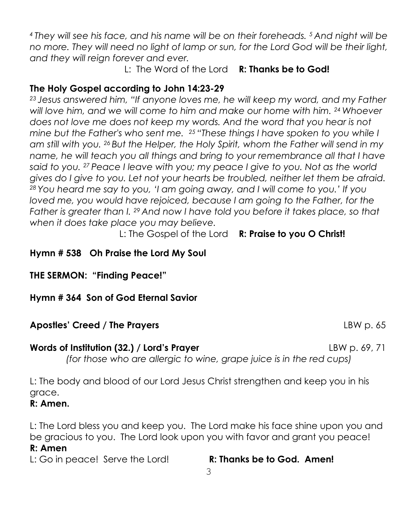*<sup>4</sup> They will see his face, and his name will be on their foreheads. <sup>5</sup> And night will be no more. They will need no light of lamp or sun, for the Lord God will be their light, and they will reign forever and ever.* 

L: The Word of the Lord **R: Thanks be to God!**

# **The Holy Gospel according to John 14:23-29**

*<sup>23</sup> Jesus answered him, "If anyone loves me, he will keep my word, and my Father will love him, and we will come to him and make our home with him. <sup>24</sup> Whoever*  does not love me does not keep my words. And the word that you hear is not *mine but the Father's who sent me. <sup>25</sup> "These things I have spoken to you while I am still with you. <sup>26</sup> But the Helper, the Holy Spirit, whom the Father will send in my name, he will teach you all things and bring to your remembrance all that I have said to you. <sup>27</sup> Peace I leave with you; my peace I give to you. Not as the world gives do I give to you. Let not your hearts be troubled, neither let them be afraid. <sup>28</sup> You heard me say to you, 'I am going away, and I will come to you.' If you loved me, you would have rejoiced, because I am going to the Father, for the Father is greater than I. <sup>29</sup> And now I have told you before it takes place, so that when it does take place you may believe.* 

L: The Gospel of the Lord **R: Praise to you O Christ!** 

# **Hymn # 538 Oh Praise the Lord My Soul**

**THE SERMON: "Finding Peace!"** 

## **Hymn # 364 Son of God Eternal Savior**

## **Apostles' Creed / The Prayers 32 Contract 20 Contract 20 Contract 20 Contract 20 Contract 20 Contract 20 Contract 20 Contract 20 Contract 20 Contract 20 Contract 20 Contract 20 Contract 20 Contract 20 Contract 20 Contract**

*(for those who are allergic to wine, grape juice is in the red cups)*

L: The body and blood of our Lord Jesus Christ strengthen and keep you in his grace.

## **R: Amen.**

L: The Lord bless you and keep you. The Lord make his face shine upon you and be gracious to you. The Lord look upon you with favor and grant you peace!

## **R: Amen**

L: Go in peace! Serve the Lord! **R: Thanks be to God. Amen!**

**Words of Institution (32.) / Lord's Prayer Leap Act 2018 18 LBW p. 69, 71**